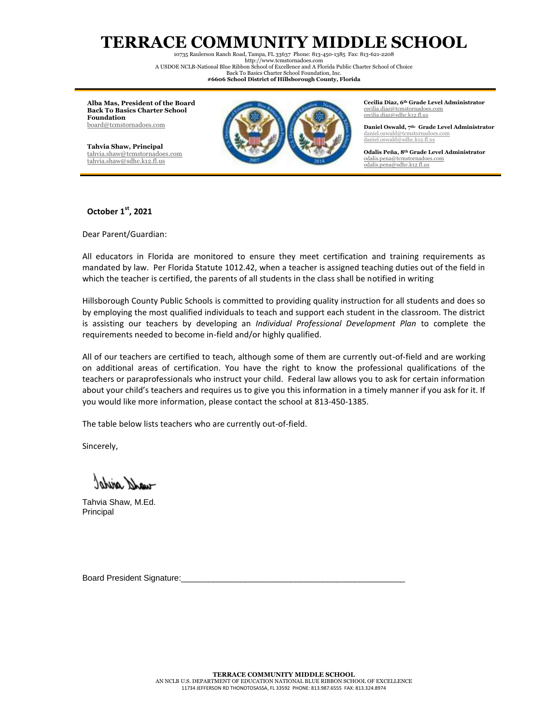## **TERRACE COMMUNITY MIDDLE SCHOOL**

10735 Raulerson Ranch Road, Tampa, FL 33637 Phone: 813-450-1385 Fax: 813-621-2208 http:/[/www.tcmstornadoes.com](http://www.tcstornadoes.com/) A USDOE NCLB-National Blue Ribbon School of Excellence and A Florida Public Charter School of Choice Back To Basics Charter School Foundation, Inc.

**#6606 School District of Hillsborough County, Florida**

**Alba Mas, President of the Board Back To Basics Charter School Foundation** [board@tcmstornadoes.com](mailto:board@tcmstornadoes.com)

**Tahvia Shaw, Principal** [tahvia.shaw@tcmstornadoes.com](mailto:tahvia.shaw@tcmstornadoes.com) [tahvia.shaw@sdhc.k12.fl.us](mailto:tahvia.shaw@sdhc.k12.fl.us)



**Cecilia Diaz, 6th Grade Level Administrator** [cecilia.diaz@tcmstornadoes.com](mailto:cecilia.diaz@tcmstornadoes.com) [cecilia.diaz@sdhc.k12.fl.us](mailto:cecilia.diaz@sdhc.k12.fl.us)

**Daniel Oswald, 7th- Grade Level Administrator** [daniel.oswald@tcmstornadoes.com](mailto:daniel.oswald@tcmstornadoes.com) [daniel.oswald@sdhc.k12.fl.us](mailto:daniel.oswald@sdhc.k12.fl.us)

**Odalis Peña, 8th Grade Level Administrator** [odalis.pena@tcmstornadoes.com](mailto:odalis.pena@tcmstornadoes.com) [odalis.pena@sdhc.k12.fl.us](mailto:odalis.pena@sdhc.k12.fl.us)

## **October 1st, 2021**

Dear Parent/Guardian:

All educators in Florida are monitored to ensure they meet certification and training requirements as mandated by law. Per Florida Statute 1012.42, when a teacher is assigned teaching duties out of the field in which the teacher is certified, the parents of all students in the class shall be notified in writing

Hillsborough County Public Schools is committed to providing quality instruction for all students and does so by employing the most qualified individuals to teach and support each student in the classroom. The district is assisting our teachers by developing an *Individual Professional Development Plan* to complete the requirements needed to become in-field and/or highly qualified.

All of our teachers are certified to teach, although some of them are currently out-of-field and are working on additional areas of certification. You have the right to know the professional qualifications of the teachers or paraprofessionals who instruct your child. Federal law allows you to ask for certain information about your child's teachers and requires us to give you this information in a timely manner if you ask for it. If you would like more information, please contact the school at 813-450-1385.

The table below lists teachers who are currently out-of-field.

Sincerely,

wand aridol

Tahvia Shaw, M.Ed. Principal

Board President Signature: